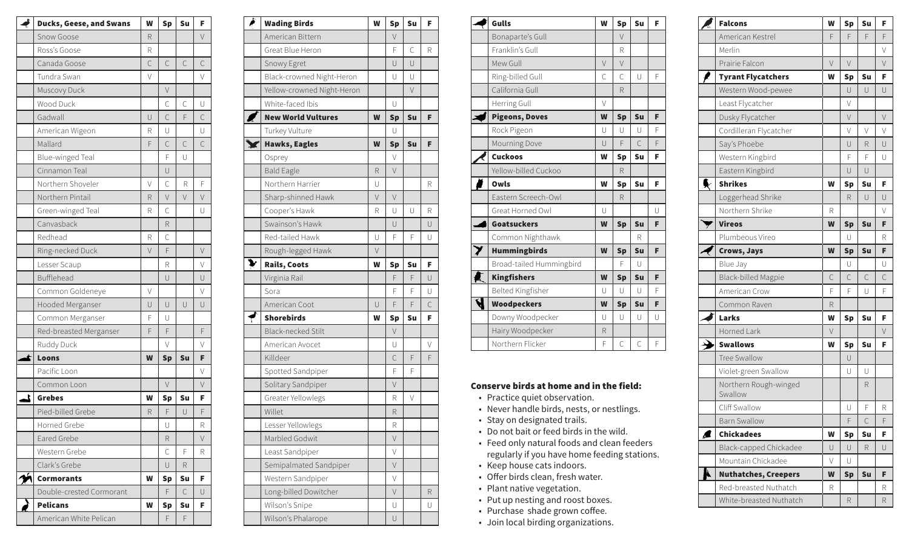| é<br><b>Ducks, Geese, and Swans</b> | W      | <b>Sp</b>    | Su     | F      |
|-------------------------------------|--------|--------------|--------|--------|
| Snow Goose                          | R      |              |        | V      |
| Ross's Goose                        | R      |              |        |        |
| Canada Goose                        | C      | C            | C      | C      |
| Tundra Swan                         | $\vee$ |              |        | $\vee$ |
| Muscovy Duck                        |        | $\vee$       |        |        |
| Wood Duck                           |        | $\mathsf{C}$ | С      | U      |
| Gadwall                             | U      | C            | F      | C      |
| American Wigeon                     | R      | U            |        | U      |
| Mallard                             | F      | $\mathsf{C}$ | C      | C      |
| Blue-winged Teal                    |        | F            | U      |        |
| Cinnamon Teal                       |        | U            |        |        |
| Northern Shoveler                   | $\vee$ | C            | R      | F      |
| Northern Pintail                    | R      | $\vee$       | $\vee$ | $\vee$ |
| Green-winged Teal                   | R      | $\mathsf{C}$ |        | U      |
| Canvasback                          |        | R            |        |        |
| Redhead                             | R      | С            |        |        |
| Ring-necked Duck                    | $\vee$ | F            |        | V      |
| Lesser Scaup                        |        | R            |        | V      |
| Bufflehead                          |        | $\cup$       |        | U      |
| Common Goldeneye                    | V      |              |        | V      |
| Hooded Merganser                    | U      | U            | $\cup$ | U      |
| Common Merganser                    | F      | U            |        |        |
| Red-breasted Merganser              | F      | F            |        | F      |
| Ruddy Duck                          |        | V            |        | V      |
| Loons<br>£,                         | W      | <b>Sp</b>    | Su     | F      |
| Pacific Loon                        |        |              |        | V      |
| Common Loon                         |        | $\vee$       |        | $\vee$ |
| 2<br><b>Grebes</b>                  | W      | <b>Sp</b>    | Su     | F      |
| Pied-billed Grebe                   | R      | F            | $\cup$ | F      |
| Horned Grebe                        |        | U            |        | R      |
| Eared Grebe                         |        | R            |        | V      |
| Western Grebe                       |        | C            | F      | R.     |
| Clark's Grebe                       |        | U            | R      |        |
| <b>Cormorants</b>                   | W      | <b>Sp</b>    | Su     | F.     |
| Double-crested Cormorant            |        | F            | С      | U      |
| <b>Pelicans</b>                     | W      | <b>Sp</b>    | Su     | F      |
| American White Pelican              |        | F            | F      |        |

| क्र | <b>Wading Birds</b>        | W      | <b>Sp</b>     | Su     | F              |
|-----|----------------------------|--------|---------------|--------|----------------|
|     | American Bittern           |        | $\vee$        |        |                |
|     | Great Blue Heron           |        | F             | C      | R              |
|     | Snowy Egret                |        | U             | $\cup$ |                |
|     | Black-crowned Night-Heron  |        | U             | $\cup$ |                |
|     | Yellow-crowned Night-Heron |        |               | $\vee$ |                |
|     | White-faced Ibis           |        | U             |        |                |
|     | <b>New World Vultures</b>  | W      | <b>Sp</b>     | Su     | F              |
|     | Turkey Vulture             |        | U             |        |                |
|     | <b>Hawks, Eagles</b>       | W      | <b>Sp</b>     | Su     | F              |
|     | Osprey                     |        | V             |        |                |
|     | <b>Bald Eagle</b>          | R      | $\vee$        |        |                |
|     | Northern Harrier           | U      |               |        | R              |
|     | Sharp-shinned Hawk         | $\vee$ | $\vee$        |        |                |
|     | Cooper's Hawk              | R      | U             | U      | R              |
|     | Swainson's Hawk            |        | U             |        | U              |
|     | Red-tailed Hawk            | U      | F             | F      | U              |
|     | Rough-legged Hawk          | $\vee$ |               |        |                |
|     | Rails, Coots               | W      | <b>Sp</b>     | Su     | F              |
|     | Virginia Rail              |        | F             | F      | U              |
|     | Sora                       |        | F             | F      | U              |
|     | American Coot              | U      | F             | F      | $\overline{C}$ |
|     | <b>Shorebirds</b>          | W      | <b>Sp</b>     | Su     | F              |
|     | <b>Black-necked Stilt</b>  |        | $\vee$        |        |                |
|     | American Avocet            |        | U             |        | V              |
|     | Killdeer                   |        | $\mathcal{C}$ | F      | F              |
|     | Spotted Sandpiper          |        | F             | F      |                |
|     | Solitary Sandpiper         |        | $\vee$        |        |                |
|     | Greater Yellowlegs         |        | R             | V      |                |
|     | Willet                     |        | R             |        |                |
|     | Lesser Yellowlegs          |        | R             |        |                |
|     | Marbled Godwit             |        | V             |        |                |
|     | Least Sandpiper            |        | V             |        |                |
|     | Semipalmated Sandpiper     |        | V             |        |                |
|     | Western Sandpiper          |        | V             |        |                |
|     | Long-billed Dowitcher      |        | V             |        | R              |
|     | Wilson's Snipe             |        | U             |        | U              |
|     | Wilson's Phalarope         |        | U             |        |                |

|                         | Gulls                    | W      | <b>Sp</b> | Su     | F |
|-------------------------|--------------------------|--------|-----------|--------|---|
|                         | Bonaparte's Gull         |        | $\vee$    |        |   |
|                         | Franklin's Gull          |        | R         |        |   |
|                         | Mew Gull                 | $\vee$ | $\vee$    |        |   |
|                         | Ring-billed Gull         | C      | C         | U      | F |
|                         | California Gull          |        | R         |        |   |
|                         | Herring Gull             | V      |           |        |   |
|                         | <b>Pigeons, Doves</b>    | W      | <b>Sp</b> | Su     | F |
|                         | Rock Pigeon              | Ū      | U         | $\cup$ | F |
|                         | Mourning Dove            | $\cup$ | F         | C      | F |
|                         | <b>Cuckoos</b>           | W      | <b>Sp</b> | Su     | F |
|                         | Yellow-billed Cuckoo     |        | R         |        |   |
|                         | Owls                     | W      | <b>Sp</b> | Su     | F |
|                         | Eastern Screech-Owl      |        | R         |        |   |
|                         | Great Horned Owl         | U      |           |        | Ū |
|                         | <b>Goatsuckers</b>       | W      | <b>Sp</b> | Su     | F |
|                         | Common Nighthawk         |        |           | R      |   |
|                         | <b>Hummingbirds</b>      | W      | <b>Sp</b> | Su     | F |
|                         | Broad-tailed Hummingbird |        | F         | U      |   |
|                         | <b>Kingfishers</b>       | W      | <b>Sp</b> | Su     | F |
|                         | Belted Kingfisher        | U      | U         | U      | F |
| $\overline{\mathbf{A}}$ | <b>Woodpeckers</b>       | W      | <b>Sp</b> | Su     | F |
|                         | Downy Woodpecker         | Ū      | Ū         | U      | Ū |
|                         | Hairy Woodpecker         | R      |           |        |   |
|                         | Northern Flicker         | F      | C         | C      | F |

## Conserve birds at home and in the field:

- Practice quiet observation.
- Never handle birds, nests, or nestlings.<br>• Stay on designated trails.
- 
- Do not bait or feed birds in the wild.<br>• Feed only natural foods and clean feeders
- regularly if you have home feeding stations.
- 
- Keep house cats indoors.<br>• Offer birds clean, fresh water.
- Plant native vegetation.
- Put up nesting and roost boxes.
- Purchase shade grown coffee.
- Join local birding organizations.

| <b>Falcons</b>                   | W      | <b>Sp</b> | Su | F      |
|----------------------------------|--------|-----------|----|--------|
| American Kestrel                 | F      | F         | F  | F      |
| Merlin                           |        |           |    | V      |
| Prairie Falcon                   | $\vee$ | V         |    | V      |
| <b>Tyrant Flycatchers</b>        | W      | <b>Sp</b> | Su | F      |
| Western Wood-pewee               |        | U         | U  | U      |
| Least Flycatcher                 |        | V         |    |        |
| Dusky Flycatcher                 |        | V         |    | V      |
| Cordilleran Flycatcher           |        | V         | V  | V      |
| Say's Phoebe                     |        | U         | R  | U      |
| Western Kingbird                 |        | F         | F  | U      |
| Eastern Kingbird                 |        | U         | U  |        |
| <b>Shrikes</b>                   | W      | <b>Sp</b> | Su | F.     |
| Loggerhead Shrike                |        | R         | U  | U      |
| Northern Shrike                  | R      |           |    | V      |
| <b>Vireos</b>                    | W      | <b>Sp</b> | Su | F      |
| Plumbeous Vireo                  |        | U         |    | R      |
| Crows, Jays                      | W      | <b>Sp</b> | Su | F      |
| Blue Jay                         |        | U         |    | U      |
| <b>Black-billed Magpie</b>       | C      | C         | C  | C      |
| American Crow                    | F      | F         | U  | F      |
| Common Raven                     | R      |           |    |        |
| <b>Larks</b>                     | W      | <b>Sp</b> | Su | F      |
| <b>Horned Lark</b>               | V      |           |    | $\vee$ |
| <b>Swallows</b>                  | W      | <b>Sp</b> | Su | F      |
| <b>Tree Swallow</b>              |        | U         |    |        |
| Violet-green Swallow             |        | U         | U  |        |
| Northern Rough-winged<br>Swallow |        |           | R  |        |
| Cliff Swallow                    |        | U         | F  | R      |
| <b>Barn Swallow</b>              |        | F         | C  | F      |
| <b>Chickadees</b>                | W      | <b>Sp</b> | Su | F      |
| Black-capped Chickadee           | U      | U         | R  | U      |
| Mountain Chickadee               | $\vee$ | U         |    |        |
| <b>Nuthatches, Creepers</b>      | W      | <b>Sp</b> | Su | F      |
| Red-breasted Nuthatch            | R      |           |    | R      |
| White-breasted Nuthatch          |        | R         |    | R      |